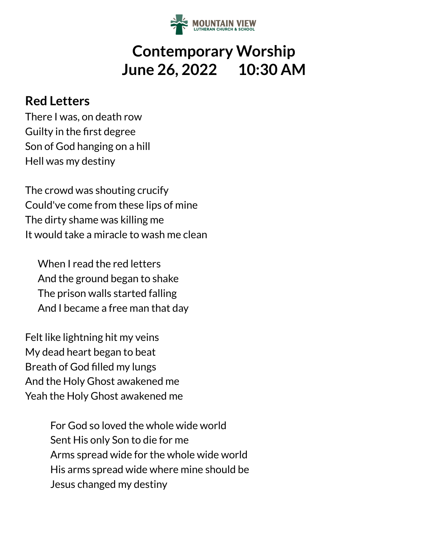

# **Contemporary Worship June 26, 2022 10:30 AM**

## **Red Letters**

There I was, on death row Guilty in the first degree Son of God hanging on a hill Hell was my destiny

The crowd was shouting crucify Could've come from these lips of mine The dirty shame was killing me It would take a miracle to wash me clean

When I read the red letters And the ground began to shake The prison walls started falling And I became a free man that day

Felt like lightning hit my veins My dead heart began to beat Breath of God filled my lungs And the Holy Ghost awakened me Yeah the Holy Ghost awakened me

> For God so loved the whole wide world Sent His only Son to die for me Arms spread wide for the whole wide world His arms spread wide where mine should be Jesus changed my destiny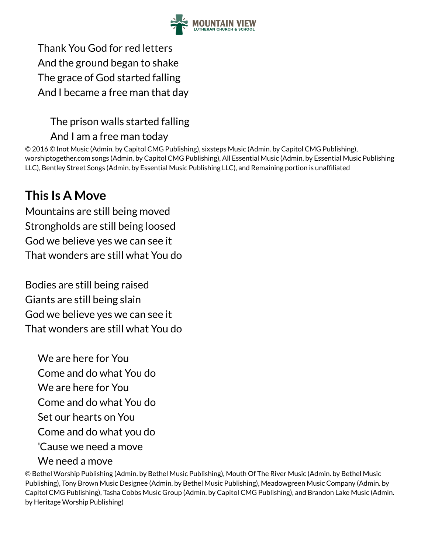

Thank You God for red letters And the ground began to shake The grace of God started falling And I became a free man that day

#### The prison walls started falling And I am a free man today

© 2016 © Inot Music (Admin. by Capitol CMG Publishing), sixsteps Music (Admin. by Capitol CMG Publishing), worshiptogether.com songs (Admin. by Capitol CMG Publishing), All Essential Music (Admin. by Essential Music Publishing LLC), Bentley Street Songs (Admin. by Essential Music Publishing LLC), and Remaining portion is unaffiliated

## **This Is A Move**

Mountains are still being moved Strongholds are still being loosed God we believe yes we can see it That wonders are still what You do

Bodies are still being raised Giants are still being slain God we believe yes we can see it That wonders are still what You do

We are here for You Come and do what You do We are here for You Come and do what You do Set our hearts on You Come and do what you do 'Cause we need a move We need a move

© Bethel Worship Publishing (Admin. by Bethel Music Publishing), Mouth Of The River Music (Admin. by Bethel Music Publishing), Tony Brown Music Designee (Admin. by Bethel Music Publishing), Meadowgreen Music Company (Admin. by Capitol CMG Publishing), Tasha Cobbs Music Group (Admin. by Capitol CMG Publishing), and Brandon Lake Music (Admin. by Heritage Worship Publishing)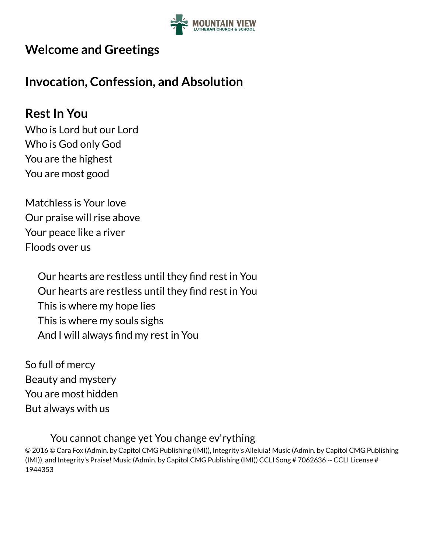

### **Welcome and Greetings**

## **Invocation, Confession, and Absolution**

## **RestIn You**

Who is Lord but our Lord Who is God only God You are the highest You are most good

Matchless is Your love Our praise will rise above Your peace like a river Floods over us

> Our hearts are restless until they find rest in You Our hearts are restless until they find rest in You This is where my hope lies This is where my souls sighs And I will always find my rest in You

So full of mercy Beauty and mystery You are most hidden But always with us

#### You cannot change yet You change ev'rything

© 2016 © Cara Fox (Admin. by Capitol CMG Publishing (IMI)), Integrity's Alleluia! Music (Admin. by Capitol CMG Publishing (IMI)), and Integrity's Praise! Music (Admin. by Capitol CMG Publishing (IMI)) CCLI Song # 7062636 -- CCLI License # 1944353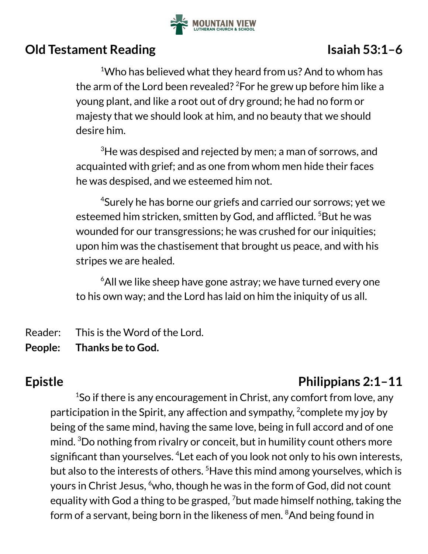

## **Old Testament Reading Isaiah 53:1–6**

<sup>1</sup>Who has believed what they heard from us? And to whom has the arm of the Lord been revealed?  ${}^{2}$ For he grew up before him like a young plant, and like a root out of dry ground; he had no form or majesty that we should look at him, and no beauty that we should desire him.

<sup>3</sup>He was despised and rejected by men; a man of sorrows, and acquainted with grief; and as one from whom men hide their faces he was despised, and we esteemed him not.

<sup>4</sup>Surely he has borne our griefs and carried our sorrows; yet we esteemed him stricken, smitten by God, and afflicted. <sup>5</sup>But he was wounded for our transgressions; he was crushed for our iniquities; upon him was the chastisement that brought us peace, and with his stripes we are healed.

<sup>6</sup>All we like sheep have gone astray; we have turned every one to his own way; and the Lord has laid on him the iniquity of us all.

- Reader: This is the Word of the Lord.
- **People: Thanks be to God.**

## **Epistle Philippians 2:1–11**

<sup>1</sup>So if there is any encouragement in Christ, any comfort from love, any participation in the Spirit, any affection and sympathy,  $^2$ complete my joy by being of the same mind, having the same love, being in full accord and of one mind. <sup>3</sup>Do nothing from rivalry or conceit, but in humility count others more significant than yourselves. <sup>4</sup>Let each of you look not only to his own interests, but also to the interests of others. <sup>5</sup>Have this mind among yourselves, which is yours in Christ Jesus, <sup>6</sup>who, though he was in the form of God, did not count equality with God a thing to be grasped, <sup>7</sup>but made himself nothing, taking the form of a servant, being born in the likeness of men. <sup>8</sup>And being found in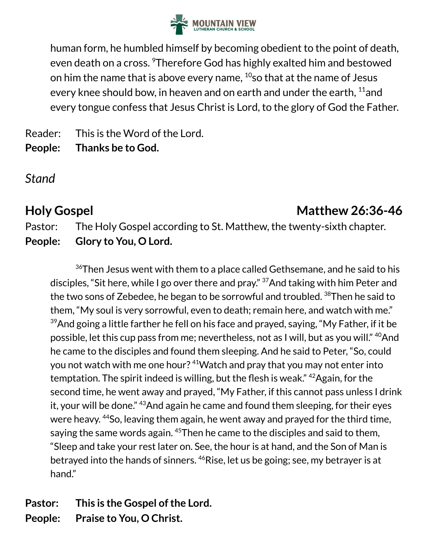

human form, he humbled himself by becoming obedient to the point of death, even death on a cross. <sup>9</sup>Therefore God has highly exalted him and bestowed on him the name that is above every name,  $^{10}$ so that at the name of Jesus every knee should bow, in heaven and on earth and under the earth,  $^{\rm 11}$ and every tongue confess that Jesus Christ is Lord, to the glory of God the Father.

Reader: This is the Word of the Lord.

**People: Thanks be to God.**

*Stand*

## **Holy Gospel Matthew 26:36-46**

Pastor: The Holy Gospel according to St. Matthew, the twenty-sixth chapter. **People: Glory to You, O Lord.**

 $36$ Then Jesus went with them to a place called Gethsemane, and he said to his disciples, "Sit here, while I go over there and pray." <sup>37</sup>And taking with him Peter and the two sons of Zebedee, he began to be sorrowful and troubled.  $^{38}$ Then he said to them, "My soul is very sorrowful, even to death; remain here, and watch with me."  $39$ And going a little farther he fell on his face and prayed, saying, "My Father, if it be possible, let this cup pass from me; nevertheless, not as I will, but as you will." <sup>40</sup>And he came to the disciples and found them sleeping. And he said to Peter, "So, could you not watch with me one hour?  $^{41}$ Watch and pray that you may not enter into temptation. The spirit indeed is willing, but the flesh is weak." <sup>42</sup>Again, for the second time, he went away and prayed, "My Father, if this cannot pass unless I drink it, your will be done." <sup>43</sup>And again he came and found them sleeping, for their eyes were heavy. <sup>44</sup>So, leaving them again, he went away and prayed for the third time, saying the same words again. <sup>45</sup>Then he came to the disciples and said to them, "Sleep and take your rest later on. See, the hour is at hand, and the Son of Man is betrayed into the hands of sinners. <sup>46</sup>Rise, let us be going; see, my betrayer is at hand."

- **Pastor: This is the Gospel ofthe Lord.**
- **People: Praise to You, O Christ.**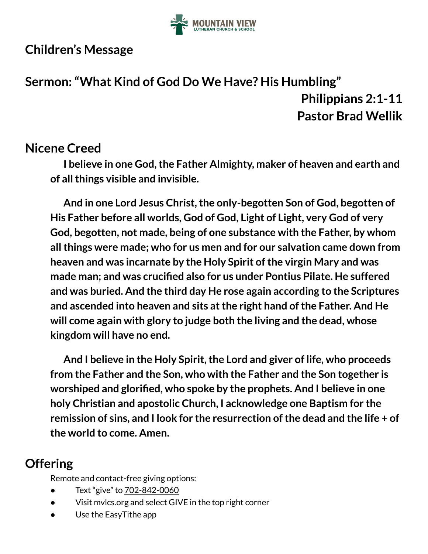

### **Children's Message**

## **Sermon:"What Kind of God Do We Have? His Humbling" Philippians 2:1-11 Pastor Brad Wellik**

#### **Nicene Creed**

**I believe in one God, the Father Almighty, maker of heaven and earth and of allthings visible and invisible.**

**And in one Lord Jesus Christ, the only-begotten Son of God, begotten of His Father before all worlds, God of God, Light of Light, very God of very God, begotten, not made, being of one substance with the Father, by whom allthings were made; who for us men and for our salvation came down from heaven and was incarnate by the Holy Spirit ofthe virgin Mary and was made man; and was crucified also for us under Pontius Pilate. He suffered and was buried. And the third day He rose again according to the Scriptures and ascended into heaven and sits atthe right hand ofthe Father. And He will come again with glory to judge both the living and the dead, whose kingdom will have no end.**

**And I believe in the Holy Spirit, the Lord and giver of life, who proceeds from the Father and the Son, who with the Father and the Son together is worshiped and glorified, who spoke by the prophets. And I believe in one holy Christian and apostolic Church, I acknowledge one Baptism for the remission of sins, and I look for the resurrection ofthe dead and the life + of the world to come. Amen.**

#### **Offering**

Remote and contact-free giving options:

- Text "give" to 702-842-0060
- Visit mylcs.org and select GIVE in the top right corner
- Use the EasyTithe app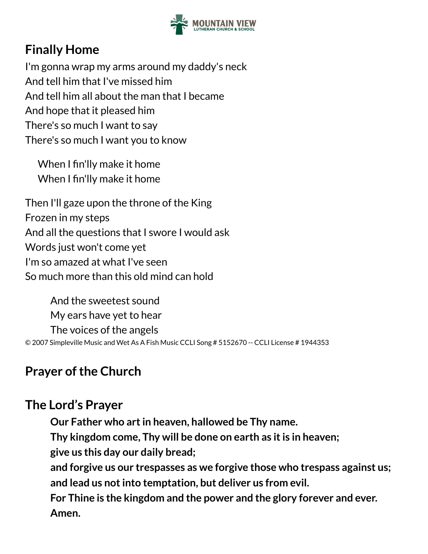

## **Finally Home**

I'm gonna wrap my arms around my daddy's neck And tell him that I've missed him And tell him all about the man that I became And hope that it pleased him There's so much I want to say There's so much I want you to know

When I fin'lly make it home When I fin'lly make it home

Then I'll gaze upon the throne of the King Frozen in my steps And all the questions that I swore I would ask Words just won't come yet I'm so amazed at what I've seen So much more than this old mind can hold

And the sweetest sound My ears have yet to hear The voices of the angels © 2007 Simpleville Music and Wet As A Fish Music CCLI Song # 5152670 -- CCLI License # 1944353

## **Prayer of the Church**

## **The Lord's Prayer**

**Our Father who artin heaven, hallowed be Thy name. Thy kingdom come, Thy will be done on earth as itis in heaven; give us this day our daily bread;**

**and forgive us our trespasses as we forgive those who trespass against us; and lead us notinto temptation, but deliver us from evil.**

**For Thine is the kingdom and the power and the glory forever and ever. Amen.**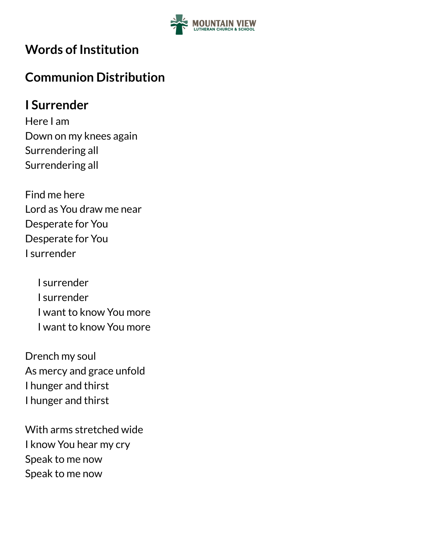

## **Words of Institution**

## **Communion Distribution**

## **I Surrender**

Here I am Down on my knees again Surrendering all Surrendering all

Find me here Lord as You draw me near Desperate for You Desperate for You I surrender

> I surrender I surrender I want to know You more I want to know You more

Drench my soul As mercy and grace unfold I hunger and thirst I hunger and thirst

With arms stretched wide I know You hear my cry Speak to me now Speak to me now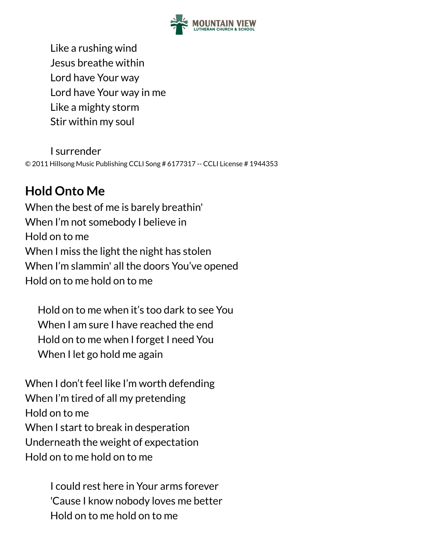

Like a rushing wind Jesus breathe within Lord have Your way Lord have Your way in me Like a mighty storm Stir within my soul

I surrender © 2011 Hillsong Music Publishing CCLI Song # 6177317 -- CCLI License # 1944353

## **Hold Onto Me**

When the best of me is barely breathin' When I'm not somebody I believe in Hold on to me When I miss the light the night has stolen When I'm slammin' all the doors You've opened Hold on to me hold on to me

Hold on to me when it's too dark to see You When I am sure I have reached the end Hold on to me when I forget I need You When I let go hold me again

When I don't feel like I'm worth defending When I'm tired of all my pretending Hold on to me When I start to break in desperation Underneath the weight of expectation Hold on to me hold on to me

> I could rest here in Your arms forever 'Cause I know nobody loves me better Hold on to me hold on to me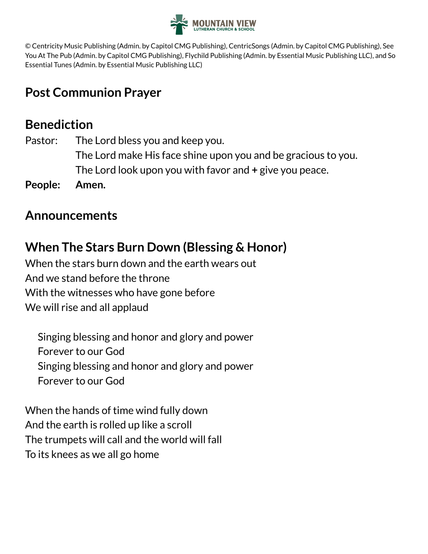

© Centricity Music Publishing (Admin. by Capitol CMG Publishing), CentricSongs (Admin. by Capitol CMG Publishing), See You At The Pub (Admin. by Capitol CMG Publishing), Flychild Publishing (Admin. by Essential Music Publishing LLC), and So Essential Tunes (Admin. by Essential Music Publishing LLC)

## **Post Communion Prayer**

## **Benediction**

Pastor: The Lord bless you and keep you. The Lord make His face shine upon you and be gracious to you. The Lord look upon you with favor and **+** give you peace. **People: Amen.**

#### **Announcements**

## **When The Stars Burn Down (Blessing & Honor)**

When the stars burn down and the earth wears out And we stand before the throne With the witnesses who have gone before We will rise and all applaud

Singing blessing and honor and glory and power Forever to our God Singing blessing and honor and glory and power Forever to our God

When the hands of time wind fully down And the earth is rolled up like a scroll The trumpets will call and the world will fall To its knees as we all go home